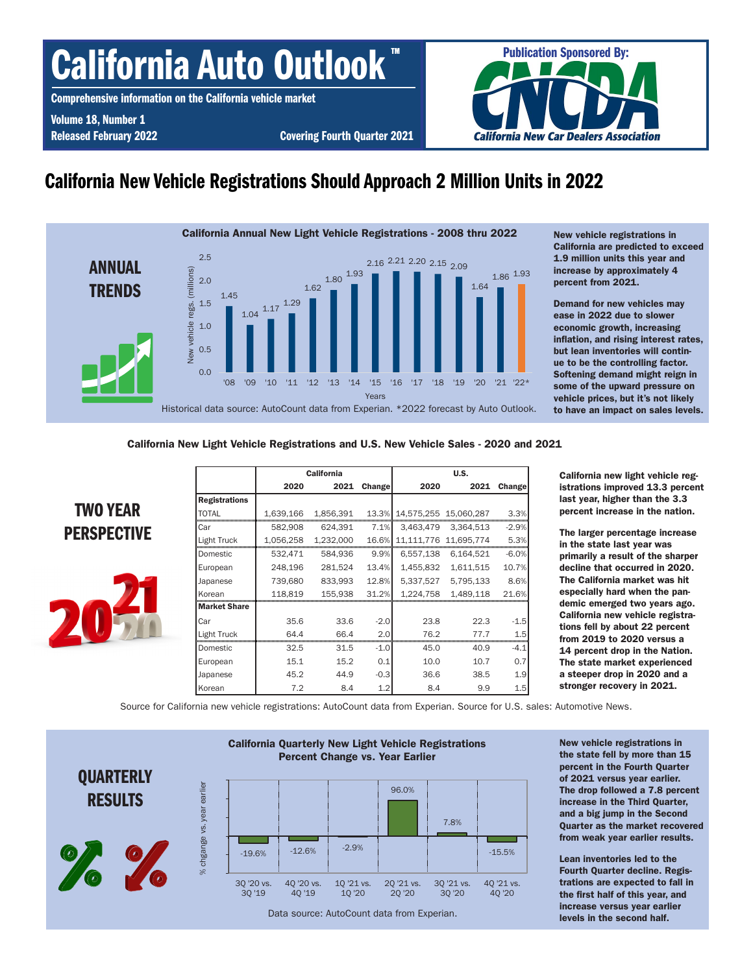# California Auto Outlook

Comprehensive information on the California vehicle market

Volume 18, Number 1

Released February 2022 **Covering Fourth Quarter 2021** 



# California New Vehicle Registrations Should Approach 2 Million Units in 2022



New vehicle registrations in California are predicted to exceed 1.9 million units this year and increase by approximately 4 percent from 2021.

Demand for new vehicles may ease in 2022 due to slower economic growth, increasing inflation, and rising interest rates, but lean inventories will continue to be the controlling factor. Softening demand might reign in some of the upward pressure on vehicle prices, but it's not likely to have an impact on sales levels.

## California New Light Vehicle Registrations and U.S. New Vehicle Sales - 2020 and 2021



|                     |           | <b>California</b> |               | U.S.                  |           |         |  |  |  |
|---------------------|-----------|-------------------|---------------|-----------------------|-----------|---------|--|--|--|
|                     | 2020      | 2021              | <b>Change</b> | 2020                  | 2021      | Change  |  |  |  |
| Registrations       |           |                   |               |                       |           |         |  |  |  |
| TOTAL               | 1,639,166 | 1,856,391         | 13.3%         | 14,575,255 15,060,287 |           | 3.3%    |  |  |  |
| Car                 | 582,908   | 624.391           | 7.1%          | 3.463.479             | 3.364.513 | $-2.9%$ |  |  |  |
| Light Truck         | 1,056,258 | 1,232,000         | 16.6%         | 11,111,776 11,695,774 |           | 5.3%    |  |  |  |
| Domestic            | 532.471   | 584.936           | 9.9%          | 6,557,138             | 6.164.521 | $-6.0%$ |  |  |  |
| European            | 248,196   | 281,524           | 13.4%         | 1,455,832             | 1,611,515 | 10.7%   |  |  |  |
| Japanese            | 739,680   | 833,993           | 12.8%         | 5,337,527             | 5,795,133 | 8.6%    |  |  |  |
| Korean              | 118.819   | 155.938           | 31.2%         | 1.224.758             | 1.489.118 | 21.6%   |  |  |  |
| <b>Market Share</b> |           |                   |               |                       |           |         |  |  |  |
| Car                 | 35.6      | 33.6              | $-2.0$        | 23.8                  | 22.3      | $-1.5$  |  |  |  |
| Light Truck         | 64 A      | 66.4              | 2.0           | 762                   | 777       | 1.5     |  |  |  |
| Domestic            | 32.5      | 31.5              | $-1.0$        | 45.0                  | 40.9      | $-4.1$  |  |  |  |
| European            | 15.1      | 15.2              | 0.1           | 10.0                  | 10.7      | 0.7     |  |  |  |
| Japanese            | 45.2      | 44.9              | $-0.3$        | 36.6                  | 38.5      | 1.9     |  |  |  |
| Korean              | 7.2       | 8.4               | 1.2           | 8.4                   | 9.9       | 1.5     |  |  |  |

California new light vehicle registrations improved 13.3 percent last year, higher than the 3.3 percent increase in the nation.

The larger percentage increase in the state last year was primarily a result of the sharper decline that occurred in 2020. The California market was hit especially hard when the pandemic emerged two years ago. California new vehicle registrations fell by about 22 percent from 2019 to 2020 versus a 14 percent drop in the Nation. The state market experienced a steeper drop in 2020 and a stronger recovery in 2021.

Source for California new vehicle registrations: AutoCount data from Experian. Source for U.S. sales: Automotive News.



New vehicle registrations in the state fell by more than 15 percent in the Fourth Quarter of 2021 versus year earlier. The drop followed a 7.8 percent increase in the Third Quarter, and a big jump in the Second Quarter as the market recovered from weak year earlier results.

Lean inventories led to the Fourth Quarter decline. Registrations are expected to fall in the first half of this year, and increase versus year earlier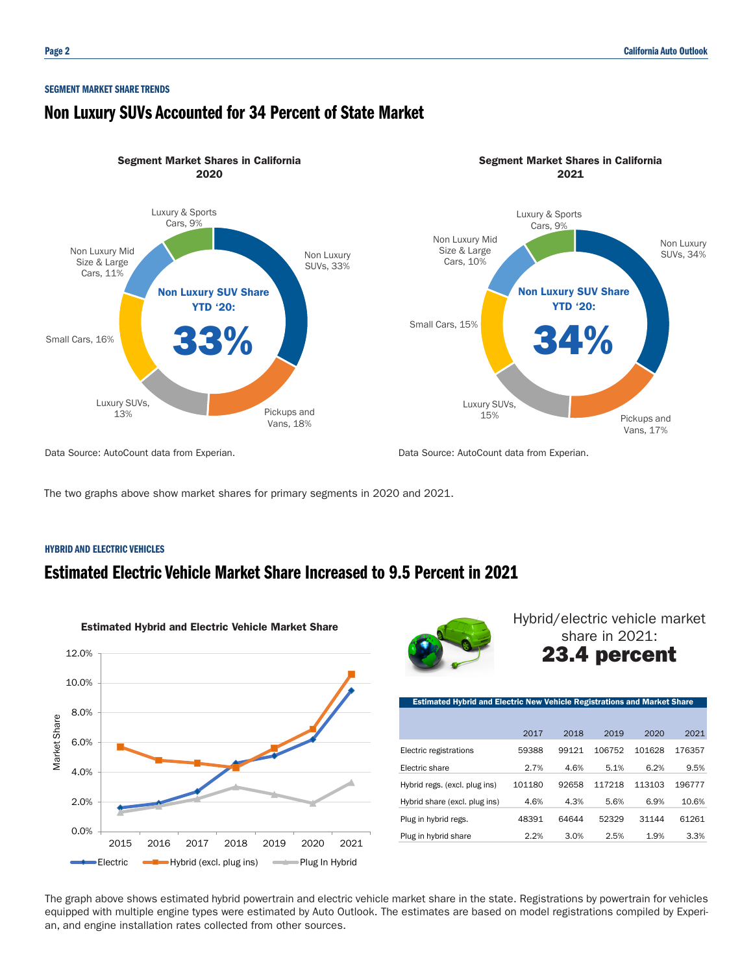## SEGMENT MARKET SHARE TRENDS

# Non Luxury SUVs Accounted for 34 Percent of State Market



The two graphs above show market shares for primary segments in 2020 and 2021.

## HYBRID AND ELECTRIC VEHICLES

# Estimated Electric Vehicle Market Share Increased to 9.5 Percent in 2021





Hybrid/electric vehicle market share in 2021: 23.4 percent

| <b>Estimated Hybrid and Electric New Vehicle Registrations and Market Share</b> |        |       |        |        |        |
|---------------------------------------------------------------------------------|--------|-------|--------|--------|--------|
|                                                                                 |        |       |        |        |        |
|                                                                                 | 2017   | 2018  | 2019   | 2020   | 2021   |
| Electric registrations                                                          | 59388  | 99121 | 106752 | 101628 | 176357 |
| Electric share                                                                  | 2.7%   | 4.6%  | 5.1%   | 6.2%   | 9.5%   |
| Hybrid regs. (excl. plug ins)                                                   | 101180 | 92658 | 117218 | 113103 | 196777 |
| Hybrid share (excl. plug ins)                                                   | 4.6%   | 4.3%  | 5.6%   | 6.9%   | 10.6%  |
| Plug in hybrid regs.                                                            | 48391  | 64644 | 52329  | 31144  | 61261  |
| Plug in hybrid share                                                            | 2.2%   | 3.0%  | 2.5%   | 1.9%   | 3.3%   |

The graph above shows estimated hybrid powertrain and electric vehicle market share in the state. Registrations by powertrain for vehicles equipped with multiple engine types were estimated by Auto Outlook. The estimates are based on model registrations compiled by Experian, and engine installation rates collected from other sources.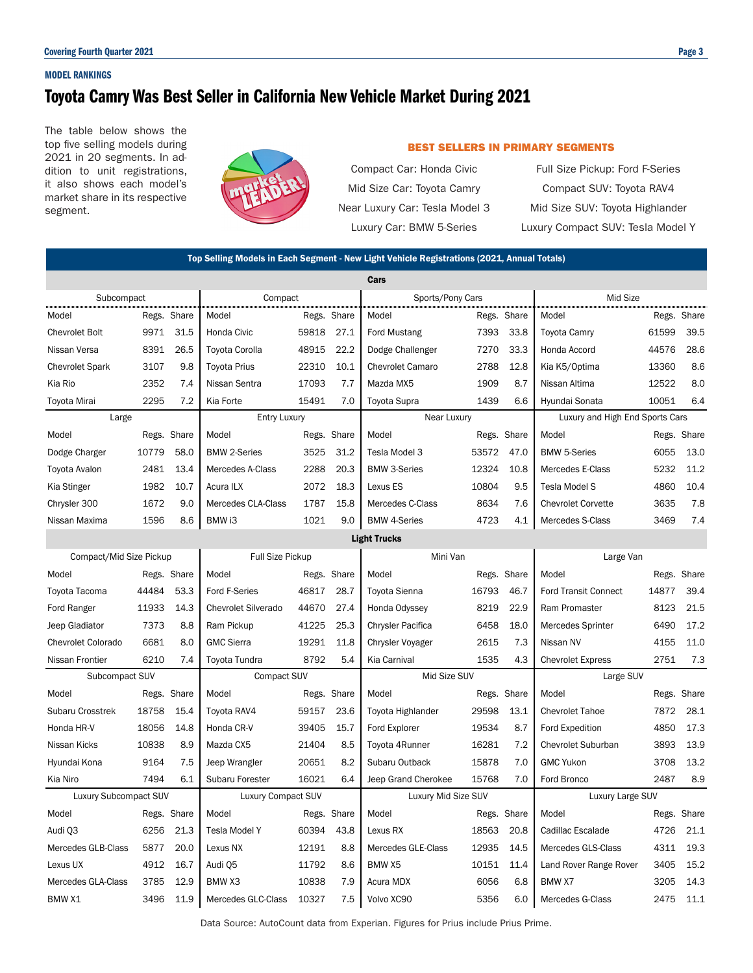## MODEL RANKINGS

# Toyota Camry Was Best Seller in California New Vehicle Market During 2021

The table below shows the top five selling models during 2021 in 20 segments. In addition to unit registrations, it also shows each model's market share in its respective segment.



## BEST SELLERS IN PRIMARY SEGMENTS

Compact Car: Honda Civic Full Size Pickup: Ford F-Series

Mid Size Car: Toyota Camry Compact SUV: Toyota RAV4 Near Luxury Car: Tesla Model 3 Mid Size SUV: Toyota Highlander Luxury Car: BMW 5-Series Luxury Compact SUV: Tesla Model Y

| Top Selling Models in Each Segment - New Light Vehicle Registrations (2021, Annual Totals) |                     |             |                            |                     |             |                         |             |           |                                 |       |             |  |
|--------------------------------------------------------------------------------------------|---------------------|-------------|----------------------------|---------------------|-------------|-------------------------|-------------|-----------|---------------------------------|-------|-------------|--|
| Cars                                                                                       |                     |             |                            |                     |             |                         |             |           |                                 |       |             |  |
| Subcompact                                                                                 |                     | Compact     |                            |                     |             | Sports/Pony Cars        |             |           | Mid Size                        |       |             |  |
| Model                                                                                      | Regs. Share         |             | Model                      |                     | Regs. Share | Model                   | Regs. Share |           | Model                           |       | Regs. Share |  |
| <b>Chevrolet Bolt</b>                                                                      | 9971                | 31.5        | Honda Civic                | 59818               | 27.1        | <b>Ford Mustang</b>     | 7393        | 33.8      | <b>Toyota Camry</b>             | 61599 | 39.5        |  |
| Nissan Versa                                                                               | 8391                | 26.5        | Toyota Corolla             | 48915               | 22.2        | Dodge Challenger        | 7270        | 33.3      | Honda Accord                    | 44576 | 28.6        |  |
| <b>Chevrolet Spark</b>                                                                     | 3107                | 9.8         | <b>Toyota Prius</b>        | 22310               | 10.1        | <b>Chevrolet Camaro</b> | 2788        | 12.8      | Kia K5/Optima                   | 13360 | 8.6         |  |
| Kia Rio                                                                                    | 2352                | 7.4         | Nissan Sentra              | 17093               | 7.7         | Mazda MX5               | 1909        | 8.7       | Nissan Altima                   | 12522 | 8.0         |  |
| Toyota Mirai                                                                               | 2295                | 7.2         | Kia Forte                  | 15491               | 7.0         | Toyota Supra            | 1439        | 6.6       | Hyundai Sonata                  | 10051 | 6.4         |  |
| Large                                                                                      |                     |             | <b>Entry Luxury</b>        |                     |             | Near Luxury             |             |           | Luxury and High End Sports Cars |       |             |  |
| Model                                                                                      | Regs. Share         |             | Model                      |                     | Regs. Share | Model                   | Regs. Share |           | Model                           |       | Regs. Share |  |
| Dodge Charger                                                                              | 10779               | 58.0        | <b>BMW 2-Series</b>        | 3525                | 31.2        | Tesla Model 3           | 53572       | 47.0      | <b>BMW 5-Series</b>             | 6055  | 13.0        |  |
| Toyota Avalon                                                                              | 2481                | 13.4        | Mercedes A-Class           | 2288                | 20.3        | <b>BMW 3-Series</b>     | 12324       | 10.8      | Mercedes E-Class                | 5232  | 11.2        |  |
| Kia Stinger                                                                                | 1982                | 10.7        | Acura ILX                  | 2072                | 18.3        | Lexus ES                | 10804       | 9.5       | Tesla Model S                   | 4860  | 10.4        |  |
| Chrysler 300                                                                               | 1672                | 9.0         | Mercedes CLA-Class         | 1787                | 15.8        | Mercedes C-Class        | 8634        | 7.6       | <b>Chevrolet Corvette</b>       | 3635  | 7.8         |  |
| Nissan Maxima                                                                              | 1596                | 8.6         | BMW i3                     | 1021                | 9.0         | <b>BMW 4-Series</b>     | 4723        | 4.1       | Mercedes S-Class                | 3469  | 7.4         |  |
|                                                                                            | <b>Light Trucks</b> |             |                            |                     |             |                         |             |           |                                 |       |             |  |
| Compact/Mid Size Pickup                                                                    |                     |             | <b>Full Size Pickup</b>    |                     | Mini Van    |                         |             | Large Van |                                 |       |             |  |
| Model                                                                                      | Regs. Share         |             | Model                      |                     | Regs. Share | Model                   | Regs. Share |           | Model                           |       | Regs. Share |  |
| Toyota Tacoma                                                                              | 44484               | 53.3        | Ford F-Series              | 46817               | 28.7        | Toyota Sienna           | 16793       | 46.7      | <b>Ford Transit Connect</b>     | 14877 | 39.4        |  |
| Ford Ranger                                                                                | 11933               | 14.3        | <b>Chevrolet Silverado</b> | 44670               | 27.4        | Honda Odyssey           | 8219        | 22.9      | Ram Promaster                   | 8123  | 21.5        |  |
| Jeep Gladiator                                                                             | 7373                | 8.8         | Ram Pickup                 | 41225               | 25.3        | Chrysler Pacifica       | 6458        | 18.0      | Mercedes Sprinter               | 6490  | 17.2        |  |
| Chevrolet Colorado                                                                         | 6681                | 8.0         | <b>GMC Sierra</b>          | 19291               | 11.8        | Chrysler Voyager        | 2615        | 7.3       | Nissan NV                       | 4155  | 11.0        |  |
| Nissan Frontier                                                                            | 6210                | 7.4         | Toyota Tundra              | 8792                | 5.4         | Kia Carnival            | 1535        | 4.3       | <b>Chevrolet Express</b>        | 2751  | 7.3         |  |
| Subcompact SUV                                                                             |                     |             | Compact SUV                |                     |             | Mid Size SUV            |             |           | Large SUV                       |       |             |  |
| Model                                                                                      | Regs. Share         |             | Model                      |                     | Regs. Share | Model                   | Regs. Share |           | Model                           |       | Regs. Share |  |
| Subaru Crosstrek                                                                           | 18758               | 15.4        | Toyota RAV4                | 59157               | 23.6        | Toyota Highlander       | 29598       | 13.1      | <b>Chevrolet Tahoe</b>          | 7872  | 28.1        |  |
| Honda HR-V                                                                                 | 18056               | 14.8        | Honda CR-V                 | 39405               | 15.7        | Ford Explorer           | 19534       | 8.7       | <b>Ford Expedition</b>          | 4850  | 17.3        |  |
| Nissan Kicks                                                                               | 10838               | 8.9         | Mazda CX5                  | 21404               | 8.5         | Toyota 4Runner          | 16281       | 7.2       | <b>Chevrolet Suburban</b>       | 3893  | 13.9        |  |
| Hyundai Kona                                                                               | 9164                | 7.5         | Jeep Wrangler              | 20651               | 8.2         | Subaru Outback          | 15878       | 7.0       | <b>GMC Yukon</b>                | 3708  | 13.2        |  |
| Kia Niro                                                                                   | 7494                | 6.1         | Subaru Forester            | 16021               | 6.4         | Jeep Grand Cherokee     | 15768       | 7.0       | Ford Bronco                     | 2487  | 8.9         |  |
| Luxury Compact SUV<br>Luxury Subcompact SUV                                                |                     |             |                            | Luxury Mid Size SUV |             | Luxury Large SUV        |             |           |                                 |       |             |  |
| Model                                                                                      |                     | Regs. Share | Model                      |                     | Regs. Share | Model                   | Regs. Share |           | Model                           |       | Regs. Share |  |
| Audi Q3                                                                                    | 6256 21.3           |             | Tesla Model Y              | 60394               | 43.8        | Lexus RX                | 18563 20.8  |           | Cadillac Escalade               |       | 4726 21.1   |  |
| Mercedes GLB-Class                                                                         | 5877                | 20.0        | Lexus NX                   | 12191               | 8.8         | Mercedes GLE-Class      | 12935 14.5  |           | Mercedes GLS-Class              |       | 4311 19.3   |  |
| Lexus UX                                                                                   | 4912 16.7           |             | Audi Q5                    | 11792               | 8.6         | BMW X5                  | 10151       | 11.4      | Land Rover Range Rover          | 3405  | 15.2        |  |
| Mercedes GLA-Class                                                                         | 3785                | 12.9        | BMW X3                     | 10838               | 7.9         | Acura MDX               | 6056        | 6.8       | BMW X7                          |       | 3205 14.3   |  |
| BMW X1                                                                                     | 3496                | 11.9        | Mercedes GLC-Class         | 10327               | 7.5         | Volvo XC90              | 5356        | 6.0       | Mercedes G-Class                |       | 2475 11.1   |  |

Data Source: AutoCount data from Experian. Figures for Prius include Prius Prime.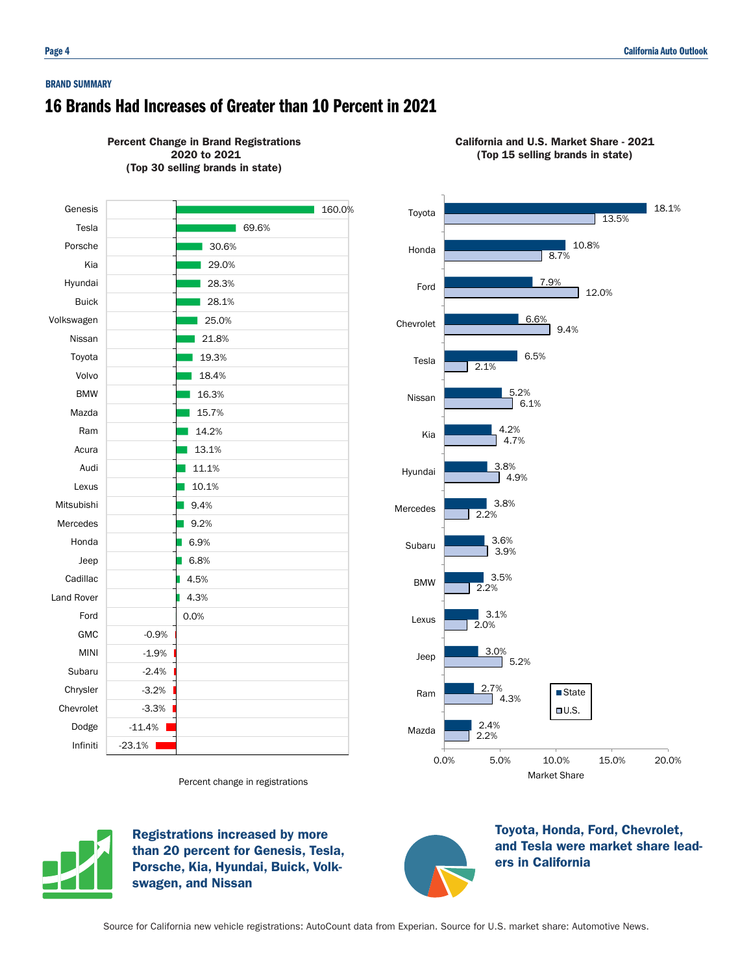#### BRAND SUMMARY

# 16 Brands Had Increases of Greater than 10 Percent in 2021





California and U.S. Market Share - 2021 (Top 15 selling brands in state)



Percent change in registrations



Registrations increased by more than 20 percent for Genesis, Tesla, Porsche, Kia, Hyundai, Buick, Volkswagen, and Nissan



Toyota, Honda, Ford, Chevrolet, and Tesla were market share leaders in California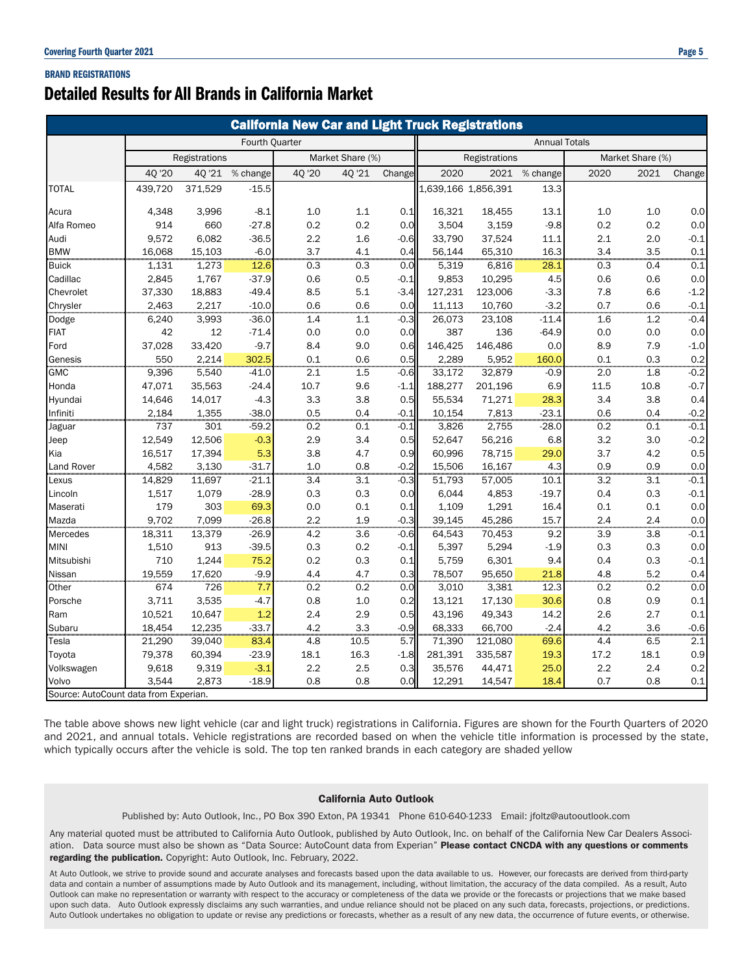## BRAND REGISTRATIONS

# Detailed Results for All Brands in California Market

| <b>California New Car and Light Truck Registrations</b> |                       |         |                  |         |               |        |                      |                  |          |                  |      |         |
|---------------------------------------------------------|-----------------------|---------|------------------|---------|---------------|--------|----------------------|------------------|----------|------------------|------|---------|
|                                                         | <b>Fourth Quarter</b> |         |                  |         |               |        | <b>Annual Totals</b> |                  |          |                  |      |         |
|                                                         | Registrations         |         | Market Share (%) |         | Registrations |        |                      | Market Share (%) |          |                  |      |         |
|                                                         | 40 '20                | 4Q '21  | % change         | 40 '20  | 40 '21        | Change | 2020                 | 2021             | % change | 2020             | 2021 | Change  |
| <b>TOTAL</b>                                            | 439,720               | 371,529 | $-15.5$          |         |               |        | 1,639,166 1,856,391  |                  | 13.3     |                  |      |         |
| Acura                                                   | 4,348                 | 3,996   | $-8.1$           | 1.0     | 1.1           | 0.1    | 16,321               | 18,455           | 13.1     | 1.0              | 1.0  | 0.0     |
| Alfa Romeo                                              | 914                   | 660     | $-27.8$          | 0.2     | 0.2           | 0.0    | 3,504                | 3,159            | $-9.8$   | 0.2              | 0.2  | 0.0     |
| Audi                                                    | 9,572                 | 6,082   | $-36.5$          | 2.2     | 1.6           | $-0.6$ | 33,790               | 37,524           | 11.1     | 2.1              | 2.0  | $-0.1$  |
| <b>BMW</b>                                              | 16,068                | 15,103  | $-6.0$           | 3.7     | 4.1           | 0.4    | 56.144               | 65,310           | 16.3     | 3.4              | 3.5  | 0.1     |
| <b>Buick</b>                                            | 1,131                 | 1,273   | 12.6             | 0.3     | 0.3           | 0.0    | 5,319                | 6,816            | 28.1     | 0.3              | 0.4  | 0.1     |
| Cadillac                                                | 2,845                 | 1,767   | $-37.9$          | 0.6     | 0.5           | -0.1   | 9,853                | 10,295           | 4.5      | 0.6              | 0.6  | 0.0     |
| Chevrolet                                               | 37,330                | 18,883  | $-49.4$          | 8.5     | 5.1           | -3.4   | 127,231              | 123,006          | $-3.3$   | 7.8              | 6.6  | $-1.2$  |
| Chrysler                                                | 2,463                 | 2,217   | $-10.0$          | 0.6     | 0.6           | 0.0    | 11,113               | 10,760           | $-3.2$   | 0.7              | 0.6  | $-0.1$  |
| Dodge                                                   | 6,240                 | 3,993   | $-36.0$          | 1.4     | 1.1           | $-0.3$ | 26,073               | 23,108           | $-11.4$  | 1.6              | 1.2  | $-0.4$  |
| <b>FIAT</b>                                             | 42                    | 12      | $-71.4$          | 0.0     | 0.0           | 0.0    | 387                  | 136              | $-64.9$  | 0.0              | 0.0  | 0.0     |
| Ford                                                    | 37,028                | 33,420  | $-9.7$           | 8.4     | 9.0           | 0.6    | 146,425              | 146,486          | 0.0      | 8.9              | 7.9  | $-1.0$  |
| Genesis                                                 | 550                   | 2,214   | 302.5            | 0.1     | 0.6           | 0.5    | 2,289                | 5,952            | 160.0    | 0.1              | 0.3  | 0.2     |
| <b>GMC</b>                                              | 9,396                 | 5,540   | $-41.0$          | 2.1     | 1.5           | $-0.6$ | 33,172               | 32,879           | $-0.9$   | 2.0              | 1.8  | $-0.2$  |
| Honda                                                   | 47,071                | 35,563  | $-24.4$          | 10.7    | 9.6           | $-1.1$ | 188,277              | 201,196          | 6.9      | 11.5             | 10.8 | $-0.7$  |
| Hyundai                                                 | 14,646                | 14,017  | $-4.3$           | 3.3     | 3.8           | 0.5    | 55,534               | 71,271           | 28.3     | 3.4              | 3.8  | 0.4     |
| Infiniti                                                | 2,184                 | 1,355   | $-38.0$          | 0.5     | 0.4           | -0.1   | 10,154               | 7,813            | $-23.1$  | 0.6              | 0.4  | $-0.2$  |
| Jaguar                                                  | 737                   | 301     | $-59.2$          | 0.2     | 0.1           | -0.1   | 3,826                | 2,755            | $-28.0$  | 0.2              | 0.1  | $-0.1$  |
| Jeep                                                    | 12,549                | 12,506  | $-0.3$           | 2.9     | 3.4           | 0.5    | 52,647               | 56,216           | 6.8      | 3.2              | 3.0  | $-0.2$  |
| Kia                                                     | 16,517                | 17,394  | 5.3              | 3.8     | 4.7           | 0.9    | 60,996               | 78,715           | 29.0     | 3.7              | 4.2  | 0.5     |
| Land Rover                                              | 4,582                 | 3,130   | $-31.7$          | 1.0     | 0.8           | $-0.2$ | 15,506               | 16,167           | 4.3      | 0.9              | 0.9  | $0.0\,$ |
| Lexus                                                   | 14,829                | 11,697  | $-21.1$          | 3.4     | 3.1           | $-0.3$ | 51,793               | 57,005           | 10.1     | $\overline{3.2}$ | 3.1  | $-0.1$  |
| Lincoln                                                 | 1,517                 | 1,079   | $-28.9$          | 0.3     | 0.3           | 0.0    | 6,044                | 4,853            | $-19.7$  | 0.4              | 0.3  | $-0.1$  |
| Maserati                                                | 179                   | 303     | 69.3             | 0.0     | 0.1           | 0.1    | 1,109                | 1,291            | 16.4     | 0.1              | 0.1  | 0.0     |
| Mazda                                                   | 9,702                 | 7,099   | $-26.8$          | 2.2     | 1.9           | $-0.3$ | 39,145               | 45,286           | 15.7     | 2.4              | 2.4  | 0.0     |
| Mercedes                                                | 18,311                | 13,379  | $-26.9$          | 4.2     | 3.6           | $-0.6$ | 64,543               | 70,453           | 9.2      | 3.9              | 3.8  | $-0.1$  |
| <b>MINI</b>                                             | 1,510                 | 913     | $-39.5$          | 0.3     | 0.2           | -0.1   | 5,397                | 5,294            | $-1.9$   | 0.3              | 0.3  | 0.0     |
| Mitsubishi                                              | 710                   | 1,244   | 75.2             | 0.2     | 0.3           | 0.1    | 5,759                | 6,301            | 9.4      | 0.4              | 0.3  | $-0.1$  |
| Nissan                                                  | 19,559                | 17,620  | $-9.9$           | 4.4     | 4.7           | 0.3    | 78,507               | 95,650           | 21.8     | 4.8              | 5.2  | 0.4     |
| Other                                                   | 674                   | 726     | 7.7              | 0.2     | 0.2           | 0.0    | 3,010                | 3,381            | 12.3     | 0.2              | 0.2  | 0.0     |
| Porsche                                                 | 3,711                 | 3,535   | $-4.7$           | 0.8     | $1.0$         | 0.2    | 13,121               | 17,130           | 30.6     | 0.8              | 0.9  | 0.1     |
| Ram                                                     | 10,521                | 10,647  | 1.2              | 2.4     | 2.9           | 0.5    | 43,196               | 49,343           | 14.2     | 2.6              | 2.7  | 0.1     |
| Subaru                                                  | 18,454                | 12,235  | $-33.7$          | 4.2     | 3.3           | $-0.9$ | 68,333               | 66,700           | $-2.4$   | 4.2              | 3.6  | $-0.6$  |
| Tesla                                                   | 21,290                | 39,040  | 83.4             | 4.8     | 10.5          | 5.7    | 71,390               | 121,080          | 69.6     | 4.4              | 6.5  | 2.1     |
| Toyota                                                  | 79,378                | 60,394  | $-23.9$          | 18.1    | 16.3          | $-1.8$ | 281,391              | 335,587          | 19.3     | 17.2             | 18.1 | 0.9     |
| Volkswagen                                              | 9,618                 | 9,319   | $-3.1$           | $2.2\,$ | 2.5           | 0.3    | 35,576               | 44,471           | 25.0     | 2.2              | 2.4  | 0.2     |
| Volvo                                                   | 3,544                 | 2,873   | $-18.9$          | 0.8     | 0.8           | 0.0    | 12,291               | 14,547           | 18.4     | 0.7              | 0.8  | 0.1     |
| Source: AutoCount data from Experian.                   |                       |         |                  |         |               |        |                      |                  |          |                  |      |         |

The table above shows new light vehicle (car and light truck) registrations in California. Figures are shown for the Fourth Quarters of 2020 and 2021, and annual totals. Vehicle registrations are recorded based on when the vehicle title information is processed by the state, which typically occurs after the vehicle is sold. The top ten ranked brands in each category are shaded yellow

## California Auto Outlook

Published by: Auto Outlook, Inc., PO Box 390 Exton, PA 19341 Phone 610-640-1233 Email: jfoltz@autooutlook.com

Any material quoted must be attributed to California Auto Outlook, published by Auto Outlook, Inc. on behalf of the California New Car Dealers Association. Data source must also be shown as "Data Source: AutoCount data from Experian" Please contact CNCDA with any questions or comments regarding the publication. Copyright: Auto Outlook, Inc. February, 2022.

At Auto Outlook, we strive to provide sound and accurate analyses and forecasts based upon the data available to us. However, our forecasts are derived from third-party data and contain a number of assumptions made by Auto Outlook and its management, including, without limitation, the accuracy of the data compiled. As a result, Auto Outlook can make no representation or warranty with respect to the accuracy or completeness of the data we provide or the forecasts or projections that we make based upon such data. Auto Outlook expressly disclaims any such warranties, and undue reliance should not be placed on any such data, forecasts, projections, or predictions. Auto Outlook undertakes no obligation to update or revise any predictions or forecasts, whether as a result of any new data, the occurrence of future events, or otherwise.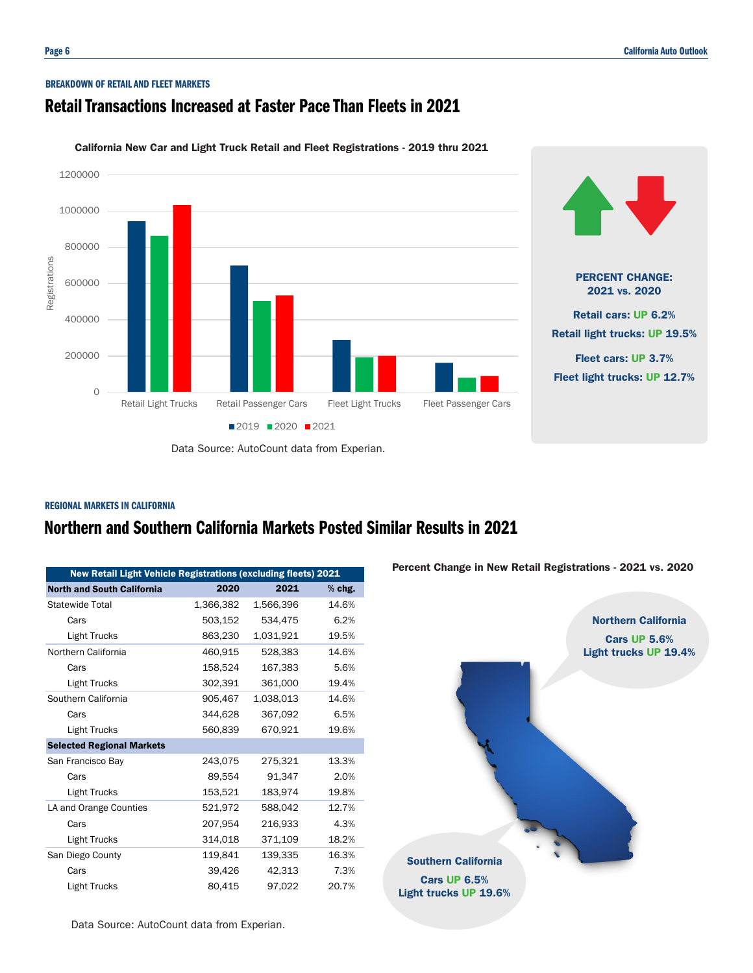## BREAKDOWN OF RETAIL AND FLEET MARKETS

# Retail Transactions Increased at Faster Pace Than Fleets in 2021



California New Car and Light Truck Retail and Fleet Registrations - 2019 thru 2021

# Data Source: AutoCount data from Experian.

## REGIONAL MARKETS IN CALIFORNIA

# Northern and Southern California Markets Posted Similar Results in 2021

| <b>New Retail Light Vehicle Registrations (excluding fleets) 2021</b> |           |           |        |  |  |
|-----------------------------------------------------------------------|-----------|-----------|--------|--|--|
|                                                                       |           |           |        |  |  |
| <b>North and South California</b>                                     | 2020      | 2021      | % chg. |  |  |
| Statewide Total                                                       | 1,366,382 | 1,566,396 | 14.6%  |  |  |
| Cars                                                                  | 503,152   | 534,475   | 6.2%   |  |  |
| <b>Light Trucks</b>                                                   | 863,230   | 1,031,921 | 19.5%  |  |  |
| Northern California                                                   | 460,915   | 528,383   | 14.6%  |  |  |
| Cars                                                                  | 158,524   | 167,383   | 5.6%   |  |  |
| Light Trucks                                                          | 302,391   | 361,000   | 19.4%  |  |  |
| Southern California                                                   | 905.467   | 1,038,013 | 14.6%  |  |  |
| Cars                                                                  | 344.628   | 367.092   | 6.5%   |  |  |
| Light Trucks                                                          | 560.839   | 670.921   | 19.6%  |  |  |
| <b>Selected Regional Markets</b>                                      |           |           |        |  |  |
| San Francisco Bay                                                     | 243.075   | 275.321   | 13.3%  |  |  |
| Cars                                                                  | 89,554    | 91,347    | 2.0%   |  |  |
| <b>Light Trucks</b>                                                   | 153,521   | 183,974   | 19.8%  |  |  |
| LA and Orange Counties                                                | 521,972   | 588,042   | 12.7%  |  |  |
| Cars                                                                  | 207,954   | 216,933   | 4.3%   |  |  |
| Light Trucks                                                          | 314,018   | 371,109   | 18.2%  |  |  |
| San Diego County                                                      | 119,841   | 139,335   | 16.3%  |  |  |
| Cars                                                                  | 39,426    | 42,313    | 7.3%   |  |  |
| Light Trucks                                                          | 80,415    | 97,022    | 20.7%  |  |  |

Data Source: AutoCount data from Experian.

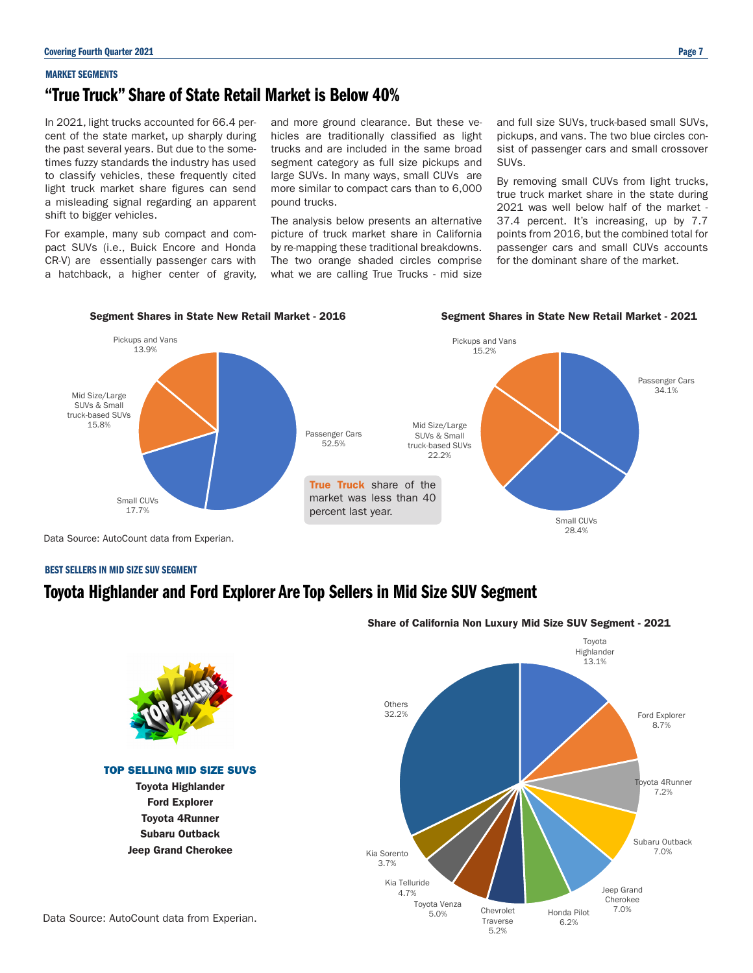#### MARKET SEGMENTS

# "True Truck" Share of State Retail Market is Below 40%

In 2021, light trucks accounted for 66.4 percent of the state market, up sharply during the past several years. But due to the sometimes fuzzy standards the industry has used to classify vehicles, these frequently cited light truck market share figures can send a misleading signal regarding an apparent shift to bigger vehicles.

For example, many sub compact and compact SUVs (i.e., Buick Encore and Honda CR-V) are essentially passenger cars with a hatchback, a higher center of gravity, and more ground clearance. But these vehicles are traditionally classified as light trucks and are included in the same broad segment category as full size pickups and large SUVs. In many ways, small CUVs are more similar to compact cars than to 6,000 pound trucks.

The analysis below presents an alternative picture of truck market share in California by re-mapping these traditional breakdowns. The two orange shaded circles comprise what we are calling True Trucks - mid size and full size SUVs, truck-based small SUVs, pickups, and vans. The two blue circles consist of passenger cars and small crossover SUVs.

By removing small CUVs from light trucks, true truck market share in the state during 2021 was well below half of the market - 37.4 percent. It's increasing, up by 7.7 points from 2016, but the combined total for passenger cars and small CUVs accounts for the dominant share of the market.

## Segment Shares in State New Retail Market - 2016 Segment Shares in State New Retail Market - 2021



Data Source: AutoCount data from Experian.

## BEST SELLERS IN MID SIZE SUV SEGMENT

# Toyota Highlander and Ford Explorer Are Top Sellers in Mid Size SUV Segment



# Share of California Non Luxury Mid Size SUV Segment - 2021

Data Source: AutoCount data from Experian.

Ford Explorer